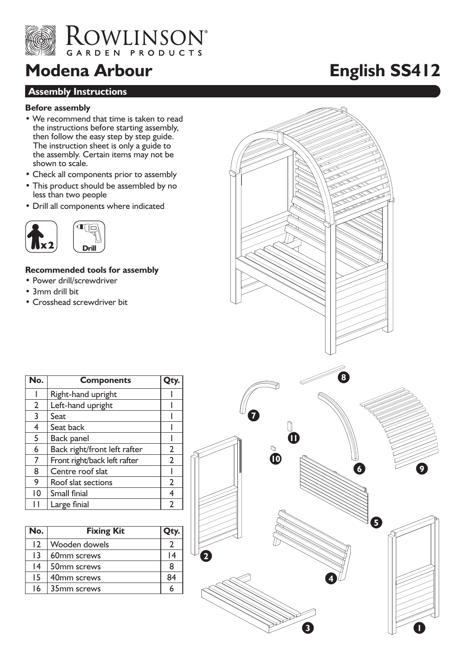

## **Modena Arbour English SS412**

#### **Assembly Instructions**

#### **Before assembly**

- We recommend that time is taken to read the instructions before starting assembly, then follow the easy step by step guide. The instruction sheet is only a guide to the assembly. Certain items may not be shown to scale.
- Check all components prior to assembly
- This product should be assembled by no less than two people
- Drill all components where indicated



#### **Recommended tools for assembly**

- Power drill/screwdriver
- 3mm drill bit
- Crosshead screwdriver bit

| No.            | <b>Components</b>            |                |
|----------------|------------------------------|----------------|
|                | Right-hand upright           |                |
| $\overline{2}$ | Left-hand upright            |                |
| 3              | Seat                         |                |
| $\overline{4}$ | Seat back                    |                |
| 5              | Back panel                   |                |
| 6              | Back right/front left rafter | $\overline{2}$ |
| 7              | Front right/back left rafter | $\overline{2}$ |
| 8              | Centre roof slat             |                |
| 9              | Roof slat sections           | $\overline{2}$ |
| 10             | Small finial                 | 4              |
| Н              | Large finial                 | 2              |

| No.             | <b>Fixing Kit</b> | Qty. |
|-----------------|-------------------|------|
| 12              | Wooden dowels     |      |
| $\overline{13}$ | 60mm screws       | 14   |
| 4               | 50mm screws       | 8    |
| 15              | 40mm screws       | 84   |
| 16              | 35mm screws       | h    |

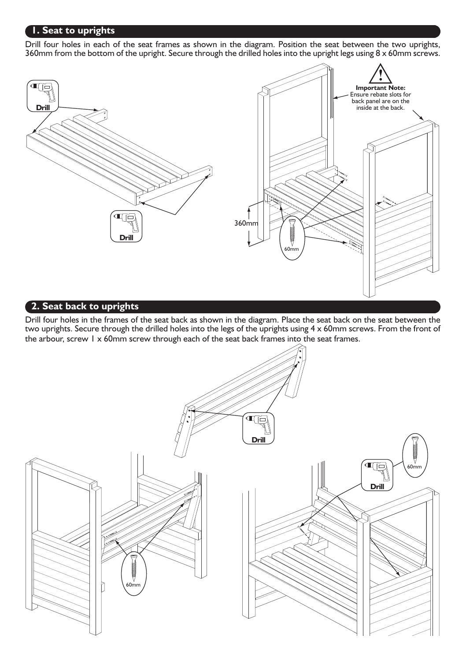#### **1. Seat to uprights**

Drill four holes in each of the seat frames as shown in the diagram. Position the seat between the two uprights, 360mm from the bottom of the upright. Secure through the drilled holes into the upright legs using  $8 \times 60$ mm screws.



#### **2. Seat back to uprights**

Drill four holes in the frames of the seat back as shown in the diagram. Place the seat back on the seat between the two uprights. Secure through the drilled holes into the legs of the uprights using 4 x 60mm screws. From the front of the arbour, screw 1 x 60mm screw through each of the seat back frames into the seat frames.

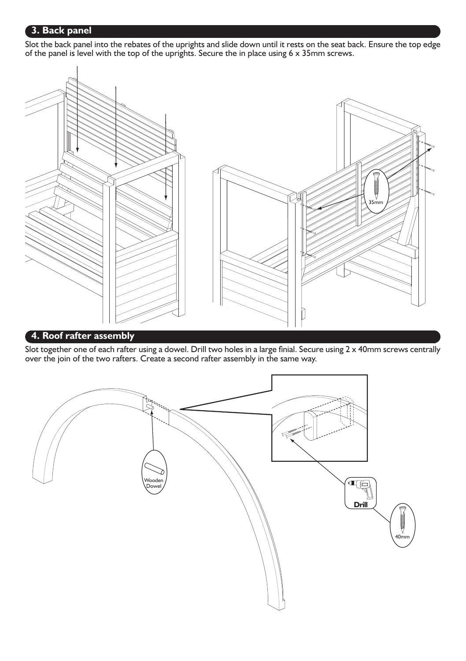#### **3. Back panel**

Slot the back panel into the rebates of the uprights and slide down until it rests on the seat back. Ensure the top edge of the panel is level with the top of the uprights. Secure the in place using  $6 \times 35$ mm screws.



#### **4. Roof rafter assembly**

Slot together one of each rafter using a dowel. Drill two holes in a large finial. Secure using  $2 \times 40$ mm screws centrally over the join of the two rafters. Create a second rafter assembly in the same way.